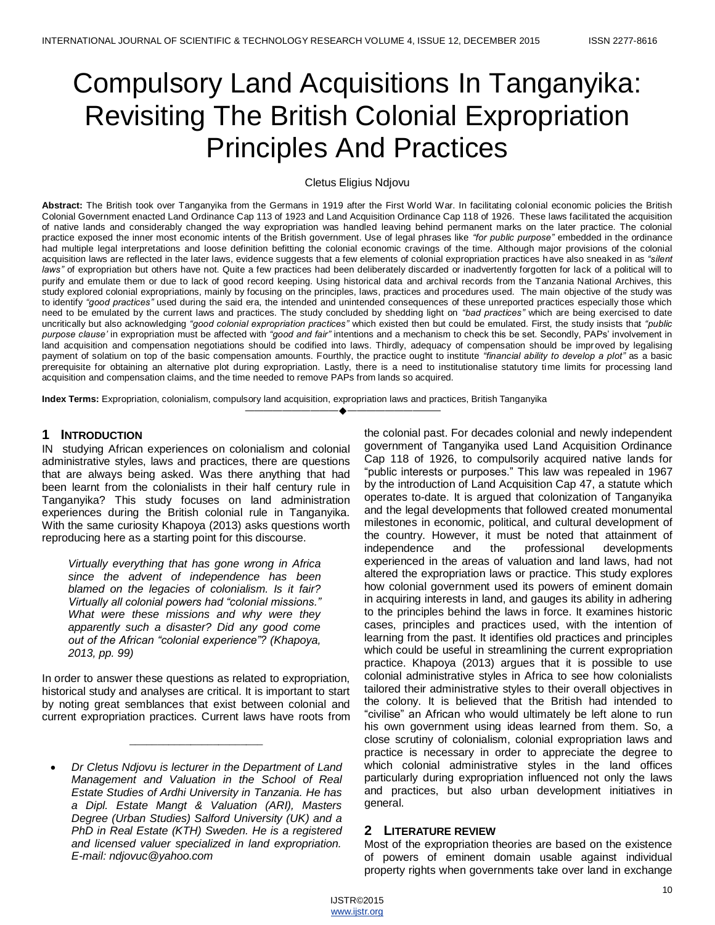# Compulsory Land Acquisitions In Tanganyika: Revisiting The British Colonial Expropriation Principles And Practices

# Cletus Eligius Ndjovu

**Abstract:** The British took over Tanganyika from the Germans in 1919 after the First World War. In facilitating colonial economic policies the British Colonial Government enacted Land Ordinance Cap 113 of 1923 and Land Acquisition Ordinance Cap 118 of 1926. These laws facilitated the acquisition of native lands and considerably changed the way expropriation was handled leaving behind permanent marks on the later practice. The colonial practice exposed the inner most economic intents of the British government. Use of legal phrases like *"for public purpose"* embedded in the ordinance had multiple legal interpretations and loose definition befitting the colonial economic cravings of the time. Although major provisions of the colonial acquisition laws are reflected in the later laws, evidence suggests that a few elements of colonial expropriation practices have also sneaked in as *"silent laws"* of expropriation but others have not. Quite a few practices had been deliberately discarded or inadvertently forgotten for lack of a political will to purify and emulate them or due to lack of good record keeping. Using historical data and archival records from the Tanzania National Archives, this study explored colonial expropriations, mainly by focusing on the principles, laws, practices and procedures used. The main objective of the study was to identify *"good practices"* used during the said era, the intended and unintended consequences of these unreported practices especially those which need to be emulated by the current laws and practices. The study concluded by shedding light on *"bad practices"* which are being exercised to date uncritically but also acknowledging *"good colonial expropriation practices"* which existed then but could be emulated. First, the study insists that *"public purpose clause"* in expropriation must be affected with *"good and fair"* intentions and a mechanism to check this be set. Secondly, PAPs' involvement in land acquisition and compensation negotiations should be codified into laws. Thirdly, adequacy of compensation should be improved by legalising payment of solatium on top of the basic compensation amounts. Fourthly, the practice ought to institute *"financial ability to develop a plot"* as a basic prerequisite for obtaining an alternative plot during expropriation. Lastly, there is a need to institutionalise statutory time limits for processing land acquisition and compensation claims, and the time needed to remove PAPs from lands so acquired.

————————————————————

**Index Terms:** Expropriation, colonialism, compulsory land acquisition, expropriation laws and practices, British Tanganyika

# **1 INTRODUCTION**

IN studying African experiences on colonialism and colonial administrative styles, laws and practices, there are questions that are always being asked. Was there anything that had been learnt from the colonialists in their half century rule in Tanganyika? This study focuses on land administration experiences during the British colonial rule in Tanganyika. With the same curiosity Khapoya (2013) asks questions worth reproducing here as a starting point for this discourse.

*Virtually everything that has gone wrong in Africa since the advent of independence has been blamed on the legacies of colonialism. Is it fair? Virtually all colonial powers had "colonial missions." What were these missions and why were they apparently such a disaster? Did any good come out of the African "colonial experience"? (Khapoya, 2013, pp. 99)*

In order to answer these questions as related to expropriation, historical study and analyses are critical. It is important to start by noting great semblances that exist between colonial and current expropriation practices. Current laws have roots from

\_\_\_\_\_\_\_\_\_\_\_\_\_\_\_\_\_\_\_\_\_\_\_\_

the colonial past. For decades colonial and newly independent government of Tanganyika used Land Acquisition Ordinance Cap 118 of 1926, to compulsorily acquired native lands for "public interests or purposes." This law was repealed in 1967 by the introduction of Land Acquisition Cap 47, a statute which operates to-date. It is argued that colonization of Tanganyika and the legal developments that followed created monumental milestones in economic, political, and cultural development of the country. However, it must be noted that attainment of independence and the professional developments experienced in the areas of valuation and land laws, had not altered the expropriation laws or practice. This study explores how colonial government used its powers of eminent domain in acquiring interests in land, and gauges its ability in adhering to the principles behind the laws in force. It examines historic cases, principles and practices used, with the intention of learning from the past. It identifies old practices and principles which could be useful in streamlining the current expropriation practice. Khapoya (2013) argues that it is possible to use colonial administrative styles in Africa to see how colonialists tailored their administrative styles to their overall objectives in the colony. It is believed that the British had intended to ―civilise‖ an African who would ultimately be left alone to run his own government using ideas learned from them. So, a close scrutiny of colonialism, colonial expropriation laws and practice is necessary in order to appreciate the degree to which colonial administrative styles in the land offices particularly during expropriation influenced not only the laws and practices, but also urban development initiatives in general.

# **2 LITERATURE REVIEW**

Most of the expropriation theories are based on the existence of powers of eminent domain usable against individual property rights when governments take over land in exchange

*Dr Cletus Ndjovu is lecturer in the Department of Land Management and Valuation in the School of Real Estate Studies of Ardhi University in Tanzania. He has a Dipl. Estate Mangt & Valuation (ARI), Masters Degree (Urban Studies) Salford University (UK) and a PhD in Real Estate (KTH) Sweden. He is a registered and licensed valuer specialized in land expropriation. E-mail: ndjovuc@yahoo.com*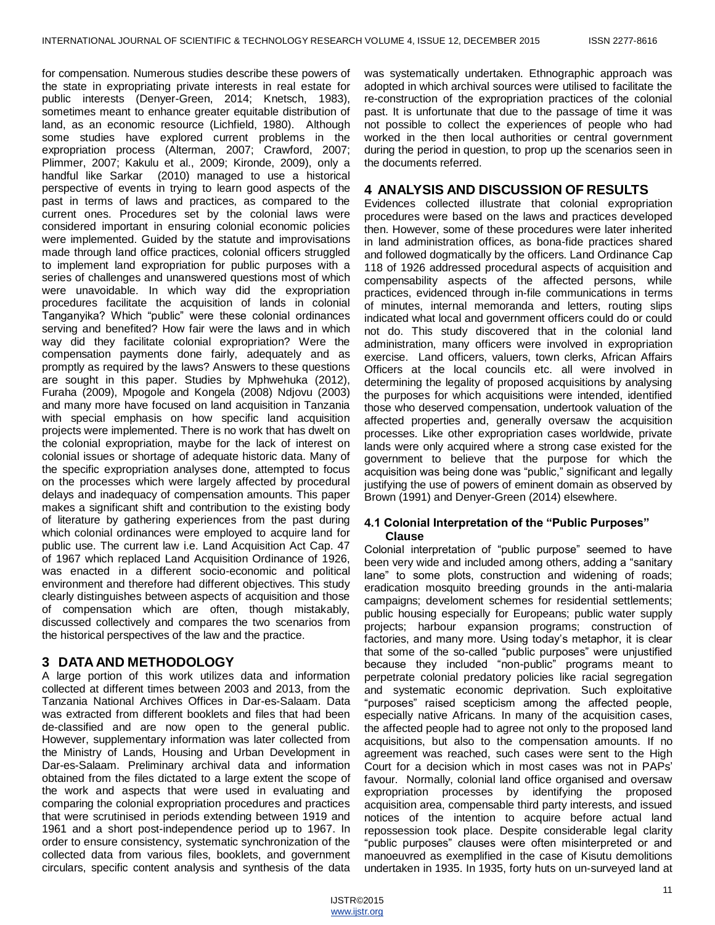for compensation. Numerous studies describe these powers of the state in expropriating private interests in real estate for public interests (Denyer-Green, 2014; Knetsch, 1983), sometimes meant to enhance greater equitable distribution of land, as an economic resource (Lichfield, 1980). Although some studies have explored current problems in the expropriation process (Alterman, 2007; Crawford, 2007; Plimmer, 2007; Kakulu et al., 2009; Kironde, 2009), only a handful like Sarkar (2010) managed to use a historical perspective of events in trying to learn good aspects of the past in terms of laws and practices, as compared to the current ones. Procedures set by the colonial laws were considered important in ensuring colonial economic policies were implemented. Guided by the statute and improvisations made through land office practices, colonial officers struggled to implement land expropriation for public purposes with a series of challenges and unanswered questions most of which were unavoidable. In which way did the expropriation procedures facilitate the acquisition of lands in colonial Tanganyika? Which "public" were these colonial ordinances serving and benefited? How fair were the laws and in which way did they facilitate colonial expropriation? Were the compensation payments done fairly, adequately and as promptly as required by the laws? Answers to these questions are sought in this paper. Studies by Mphwehuka (2012), Furaha (2009), Mpogole and Kongela (2008) Ndjovu (2003) and many more have focused on land acquisition in Tanzania with special emphasis on how specific land acquisition projects were implemented. There is no work that has dwelt on the colonial expropriation, maybe for the lack of interest on colonial issues or shortage of adequate historic data. Many of the specific expropriation analyses done, attempted to focus on the processes which were largely affected by procedural delays and inadequacy of compensation amounts. This paper makes a significant shift and contribution to the existing body of literature by gathering experiences from the past during which colonial ordinances were employed to acquire land for public use. The current law i.e. Land Acquisition Act Cap. 47 of 1967 which replaced Land Acquisition Ordinance of 1926, was enacted in a different socio-economic and political environment and therefore had different objectives. This study clearly distinguishes between aspects of acquisition and those of compensation which are often, though mistakably, discussed collectively and compares the two scenarios from the historical perspectives of the law and the practice.

# **3 DATA AND METHODOLOGY**

A large portion of this work utilizes data and information collected at different times between 2003 and 2013, from the Tanzania National Archives Offices in Dar-es-Salaam. Data was extracted from different booklets and files that had been de-classified and are now open to the general public. However, supplementary information was later collected from the Ministry of Lands, Housing and Urban Development in Dar-es-Salaam. Preliminary archival data and information obtained from the files dictated to a large extent the scope of the work and aspects that were used in evaluating and comparing the colonial expropriation procedures and practices that were scrutinised in periods extending between 1919 and 1961 and a short post-independence period up to 1967. In order to ensure consistency, systematic synchronization of the collected data from various files, booklets, and government circulars, specific content analysis and synthesis of the data

was systematically undertaken. Ethnographic approach was adopted in which archival sources were utilised to facilitate the re-construction of the expropriation practices of the colonial past. It is unfortunate that due to the passage of time it was not possible to collect the experiences of people who had worked in the then local authorities or central government during the period in question, to prop up the scenarios seen in the documents referred.

# **4 ANALYSIS AND DISCUSSION OF RESULTS**

Evidences collected illustrate that colonial expropriation procedures were based on the laws and practices developed then. However, some of these procedures were later inherited in land administration offices, as bona-fide practices shared and followed dogmatically by the officers. Land Ordinance Cap 118 of 1926 addressed procedural aspects of acquisition and compensability aspects of the affected persons, while practices, evidenced through in-file communications in terms of minutes, internal memoranda and letters, routing slips indicated what local and government officers could do or could not do. This study discovered that in the colonial land administration, many officers were involved in expropriation exercise. Land officers, valuers, town clerks, African Affairs Officers at the local councils etc. all were involved in determining the legality of proposed acquisitions by analysing the purposes for which acquisitions were intended, identified those who deserved compensation, undertook valuation of the affected properties and, generally oversaw the acquisition processes. Like other expropriation cases worldwide, private lands were only acquired where a strong case existed for the government to believe that the purpose for which the acquisition was being done was "public," significant and legally justifying the use of powers of eminent domain as observed by Brown (1991) and Denyer-Green (2014) elsewhere.

## **4.1 Colonial Interpretation of the "Public Purposes" Clause**

Colonial interpretation of "public purpose" seemed to have been very wide and included among others, adding a "sanitary lane" to some plots, construction and widening of roads; eradication mosquito breeding grounds in the anti-malaria campaigns; develoment schemes for residential settlements; public housing especially for Europeans; public water supply projects; harbour expansion programs; construction of factories, and many more. Using today's metaphor, it is clear that some of the so-called "public purposes" were unjustified because they included "non-public" programs meant to perpetrate colonial predatory policies like racial segregation and systematic economic deprivation. Such exploitative ―purposes‖ raised scepticism among the affected people, especially native Africans. In many of the acquisition cases, the affected people had to agree not only to the proposed land acquisitions, but also to the compensation amounts. If no agreement was reached, such cases were sent to the High Court for a decision which in most cases was not in PAPs' favour. Normally, colonial land office organised and oversaw expropriation processes by identifying the proposed acquisition area, compensable third party interests, and issued notices of the intention to acquire before actual land repossession took place. Despite considerable legal clarity "public purposes" clauses were often misinterpreted or and manoeuvred as exemplified in the case of Kisutu demolitions undertaken in 1935. In 1935, forty huts on un-surveyed land at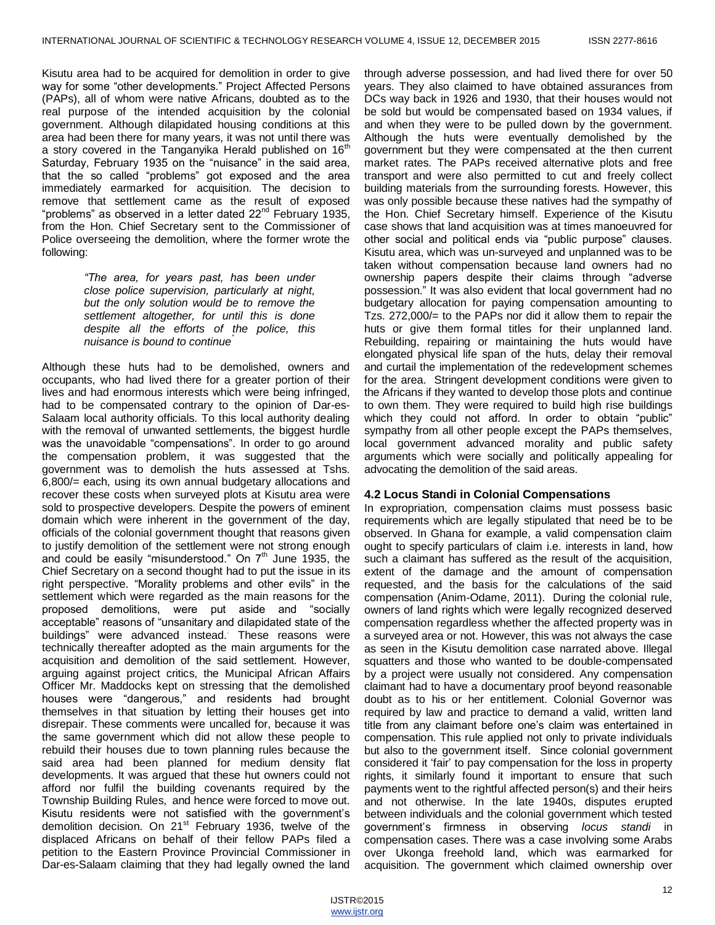Kisutu area had to be acquired for demolition in order to give way for some "other developments." Project Affected Persons (PAPs), all of whom were native Africans, doubted as to the real purpose of the intended acquisition by the colonial government. Although dilapidated housing conditions at this area had been there for many years, it was not until there was a story covered in the Tanganyika Herald published on  $16<sup>th</sup>$ Saturday, February 1935 on the "nuisance" in the said area, that the so called "problems" got exposed and the area immediately earmarked for acquisition. The decision to remove that settlement came as the result of exposed "problems" as observed in a letter dated 22<sup>nd</sup> February 1935, from the Hon. Chief Secretary sent to the Commissioner of Police overseeing the demolition, where the former wrote the following:

> *"The area, for years past, has been under close police supervision, particularly at night, but the only solution would be to remove the settlement altogether, for until this is done despite all the efforts of the police, this nuisance is bound to continue"*

Although these huts had to be demolished, owners and occupants, who had lived there for a greater portion of their lives and had enormous interests which were being infringed, had to be compensated contrary to the opinion of Dar-es-Salaam local authority officials. To this local authority dealing with the removal of unwanted settlements, the biggest hurdle was the unavoidable "compensations". In order to go around the compensation problem, it was suggested that the government was to demolish the huts assessed at Tshs. 6,800/= each, using its own annual budgetary allocations and recover these costs when surveyed plots at Kisutu area were sold to prospective developers. Despite the powers of eminent domain which were inherent in the government of the day, officials of the colonial government thought that reasons given to justify demolition of the settlement were not strong enough and could be easily "misunderstood." On  $7<sup>th</sup>$  June 1935, the Chief Secretary on a second thought had to put the issue in its right perspective. "Morality problems and other evils" in the settlement which were regarded as the main reasons for the proposed demolitions, were put aside and "socially acceptable" reasons of "unsanitary and dilapidated state of the buildings‖ were advanced instead.. These reasons were technically thereafter adopted as the main arguments for the acquisition and demolition of the said settlement*.* However, arguing against project critics, the Municipal African Affairs Officer Mr. Maddocks kept on stressing that the demolished houses were "dangerous," and residents had brought themselves in that situation by letting their houses get into disrepair. These comments were uncalled for, because it was the same government which did not allow these people to rebuild their houses due to town planning rules because the said area had been planned for medium density flat developments. It was argued that these hut owners could not afford nor fulfil the building covenants required by the Township Building Rules, and hence were forced to move out. Kisutu residents were not satisfied with the government's demolition decision. On 21<sup>st</sup> February 1936, twelve of the displaced Africans on behalf of their fellow PAPs filed a petition to the Eastern Province Provincial Commissioner in Dar-es-Salaam claiming that they had legally owned the land

through adverse possession, and had lived there for over 50 years. They also claimed to have obtained assurances from DCs way back in 1926 and 1930, that their houses would not be sold but would be compensated based on 1934 values, if and when they were to be pulled down by the government. Although the huts were eventually demolished by the government but they were compensated at the then current market rates. The PAPs received alternative plots and free transport and were also permitted to cut and freely collect building materials from the surrounding forests. However, this was only possible because these natives had the sympathy of the Hon. Chief Secretary himself. Experience of the Kisutu case shows that land acquisition was at times manoeuvred for other social and political ends via "public purpose" clauses. Kisutu area, which was un-surveyed and unplanned was to be taken without compensation because land owners had no ownership papers despite their claims through "adverse possession.‖ It was also evident that local government had no budgetary allocation for paying compensation amounting to Tzs. 272,000/= to the PAPs nor did it allow them to repair the huts or give them formal titles for their unplanned land. Rebuilding, repairing or maintaining the huts would have elongated physical life span of the huts, delay their removal and curtail the implementation of the redevelopment schemes for the area. Stringent development conditions were given to the Africans if they wanted to develop those plots and continue to own them. They were required to build high rise buildings which they could not afford. In order to obtain "public" sympathy from all other people except the PAPs themselves, local government advanced morality and public safety arguments which were socially and politically appealing for advocating the demolition of the said areas.

# **4.2 Locus Standi in Colonial Compensations**

In expropriation, compensation claims must possess basic requirements which are legally stipulated that need be to be observed. In Ghana for example, a valid compensation claim ought to specify particulars of claim i.e. interests in land, how such a claimant has suffered as the result of the acquisition, extent of the damage and the amount of compensation requested, and the basis for the calculations of the said compensation (Anim-Odame, 2011). During the colonial rule, owners of land rights which were legally recognized deserved compensation regardless whether the affected property was in a surveyed area or not. However, this was not always the case as seen in the Kisutu demolition case narrated above. Illegal squatters and those who wanted to be double-compensated by a project were usually not considered. Any compensation claimant had to have a documentary proof beyond reasonable doubt as to his or her entitlement. Colonial Governor was required by law and practice to demand a valid, written land title from any claimant before one's claim was entertained in compensation. This rule applied not only to private individuals but also to the government itself. Since colonial government considered it 'fair' to pay compensation for the loss in property rights, it similarly found it important to ensure that such payments went to the rightful affected person(s) and their heirs and not otherwise. In the late 1940s, disputes erupted between individuals and the colonial government which tested government's firmness in observing *locus standi* in compensation cases. There was a case involving some Arabs over Ukonga freehold land, which was earmarked for acquisition. The government which claimed ownership over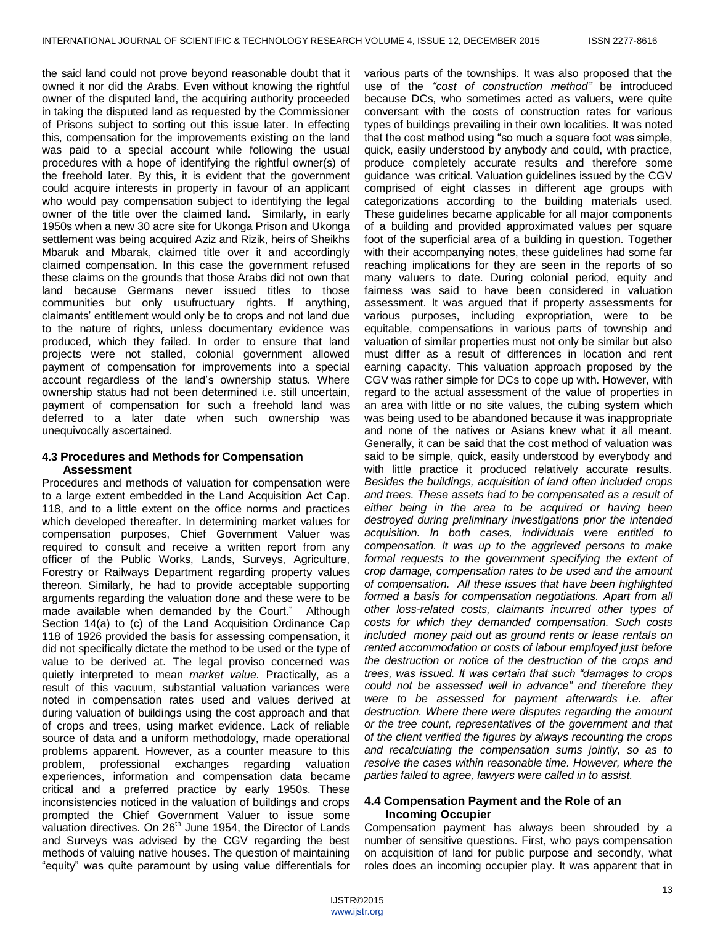the said land could not prove beyond reasonable doubt that it owned it nor did the Arabs. Even without knowing the rightful owner of the disputed land, the acquiring authority proceeded in taking the disputed land as requested by the Commissioner of Prisons subject to sorting out this issue later. In effecting this, compensation for the improvements existing on the land was paid to a special account while following the usual procedures with a hope of identifying the rightful owner(s) of the freehold later. By this, it is evident that the government could acquire interests in property in favour of an applicant who would pay compensation subject to identifying the legal owner of the title over the claimed land. Similarly, in early 1950s when a new 30 acre site for Ukonga Prison and Ukonga settlement was being acquired Aziz and Rizik, heirs of Sheikhs Mbaruk and Mbarak, claimed title over it and accordingly claimed compensation. In this case the government refused these claims on the grounds that those Arabs did not own that land because Germans never issued titles to those communities but only usufructuary rights. If anything, claimants' entitlement would only be to crops and not land due to the nature of rights, unless documentary evidence was produced, which they failed. In order to ensure that land projects were not stalled, colonial government allowed payment of compensation for improvements into a special account regardless of the land's ownership status. Where ownership status had not been determined i.e. still uncertain, payment of compensation for such a freehold land was deferred to a later date when such ownership was unequivocally ascertained.

#### **4.3 Procedures and Methods for Compensation Assessment**

Procedures and methods of valuation for compensation were to a large extent embedded in the Land Acquisition Act Cap. 118, and to a little extent on the office norms and practices which developed thereafter. In determining market values for compensation purposes, Chief Government Valuer was required to consult and receive a written report from any officer of the Public Works, Lands, Surveys, Agriculture, Forestry or Railways Department regarding property values thereon. Similarly, he had to provide acceptable supporting arguments regarding the valuation done and these were to be made available when demanded by the Court." Although Section 14(a) to (c) of the Land Acquisition Ordinance Cap 118 of 1926 provided the basis for assessing compensation, it did not specifically dictate the method to be used or the type of value to be derived at. The legal proviso concerned was quietly interpreted to mean *market value.* Practically, as a result of this vacuum, substantial valuation variances were noted in compensation rates used and values derived at during valuation of buildings using the cost approach and that of crops and trees, using market evidence. Lack of reliable source of data and a uniform methodology, made operational problems apparent. However, as a counter measure to this problem, professional exchanges regarding valuation experiences, information and compensation data became critical and a preferred practice by early 1950s. These inconsistencies noticed in the valuation of buildings and crops prompted the Chief Government Valuer to issue some valuation directives. On 26<sup>th</sup> June 1954, the Director of Lands and Surveys was advised by the CGV regarding the best methods of valuing native houses. The question of maintaining "equity" was quite paramount by using value differentials for

various parts of the townships. It was also proposed that the use of the *"cost of construction method"* be introduced because DCs, who sometimes acted as valuers, were quite conversant with the costs of construction rates for various types of buildings prevailing in their own localities. It was noted that the cost method using "so much a square foot was simple, quick, easily understood by anybody and could, with practice, produce completely accurate results and therefore some guidance was critical. Valuation guidelines issued by the CGV comprised of eight classes in different age groups with categorizations according to the building materials used. These guidelines became applicable for all major components of a building and provided approximated values per square foot of the superficial area of a building in question. Together with their accompanying notes, these guidelines had some far reaching implications for they are seen in the reports of so many valuers to date. During colonial period, equity and fairness was said to have been considered in valuation assessment. It was argued that if property assessments for various purposes, including expropriation, were to be equitable, compensations in various parts of township and valuation of similar properties must not only be similar but also must differ as a result of differences in location and rent earning capacity. This valuation approach proposed by the CGV was rather simple for DCs to cope up with. However, with regard to the actual assessment of the value of properties in an area with little or no site values, the cubing system which was being used to be abandoned because it was inappropriate and none of the natives or Asians knew what it all meant. Generally, it can be said that the cost method of valuation was said to be simple, quick, easily understood by everybody and with little practice it produced relatively accurate results. *Besides the buildings, acquisition of land often included crops and trees. These assets had to be compensated as a result of either being in the area to be acquired or having been destroyed during preliminary investigations prior the intended acquisition. In both cases, individuals were entitled to compensation. It was up to the aggrieved persons to make formal requests to the government specifying the extent of crop damage, compensation rates to be used and the amount of compensation. All these issues that have been highlighted formed a basis for compensation negotiations. Apart from all other loss-related costs, claimants incurred other types of costs for which they demanded compensation. Such costs included money paid out as ground rents or lease rentals on rented accommodation or costs of labour employed just before the destruction or notice of the destruction of the crops and trees, was issued. It was certain that such "damages to crops could not be assessed well in advance" and therefore they were to be assessed for payment afterwards i.e. after destruction. Where there were disputes regarding the amount or the tree count, representatives of the government and that of the client verified the figures by always recounting the crops and recalculating the compensation sums jointly, so as to resolve the cases within reasonable time. However, where the parties failed to agree, lawyers were called in to assist.* 

#### **4.4 Compensation Payment and the Role of an Incoming Occupier**

Compensation payment has always been shrouded by a number of sensitive questions. First, who pays compensation on acquisition of land for public purpose and secondly, what roles does an incoming occupier play. It was apparent that in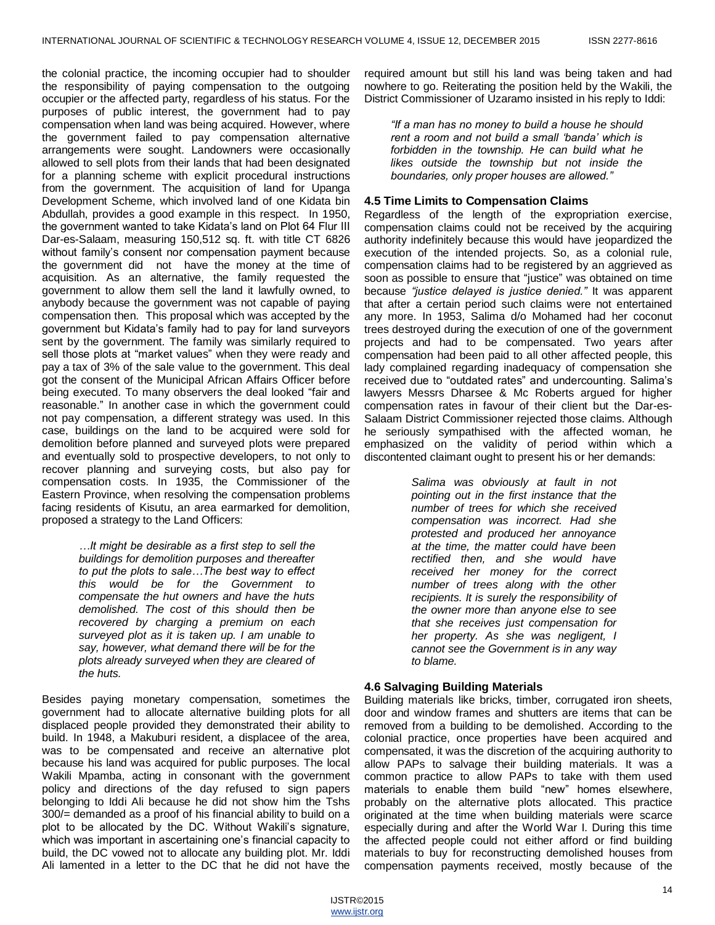the colonial practice, the incoming occupier had to shoulder the responsibility of paying compensation to the outgoing occupier or the affected party, regardless of his status. For the purposes of public interest, the government had to pay compensation when land was being acquired. However, where the government failed to pay compensation alternative arrangements were sought. Landowners were occasionally allowed to sell plots from their lands that had been designated for a planning scheme with explicit procedural instructions from the government. The acquisition of land for Upanga Development Scheme, which involved land of one Kidata bin Abdullah, provides a good example in this respect. In 1950, the government wanted to take Kidata's land on Plot 64 Flur III Dar-es-Salaam, measuring 150,512 sq. ft. with title CT 6826 without family's consent nor compensation payment because the government did not have the money at the time of acquisition. As an alternative, the family requested the government to allow them sell the land it lawfully owned, to anybody because the government was not capable of paying compensation then. This proposal which was accepted by the government but Kidata's family had to pay for land surveyors sent by the government. The family was similarly required to sell those plots at "market values" when they were ready and pay a tax of 3% of the sale value to the government. This deal got the consent of the Municipal African Affairs Officer before being executed. To many observers the deal looked "fair and reasonable." In another case in which the government could not pay compensation, a different strategy was used. In this case, buildings on the land to be acquired were sold for demolition before planned and surveyed plots were prepared and eventually sold to prospective developers, to not only to recover planning and surveying costs, but also pay for compensation costs. In 1935, the Commissioner of the Eastern Province, when resolving the compensation problems facing residents of Kisutu, an area earmarked for demolition, proposed a strategy to the Land Officers:

> *…It might be desirable as a first step to sell the buildings for demolition purposes and thereafter to put the plots to sale…The best way to effect this would be for the Government to compensate the hut owners and have the huts demolished. The cost of this should then be recovered by charging a premium on each surveyed plot as it is taken up. I am unable to say, however, what demand there will be for the plots already surveyed when they are cleared of the huts.*

Besides paying monetary compensation, sometimes the government had to allocate alternative building plots for all displaced people provided they demonstrated their ability to build. In 1948, a Makuburi resident, a displacee of the area, was to be compensated and receive an alternative plot because his land was acquired for public purposes. The local Wakili Mpamba, acting in consonant with the government policy and directions of the day refused to sign papers belonging to Iddi Ali because he did not show him the Tshs 300/= demanded as a proof of his financial ability to build on a plot to be allocated by the DC. Without Wakili's signature, which was important in ascertaining one's financial capacity to build, the DC vowed not to allocate any building plot. Mr. Iddi Ali lamented in a letter to the DC that he did not have the

required amount but still his land was being taken and had nowhere to go. Reiterating the position held by the Wakili, the District Commissioner of Uzaramo insisted in his reply to Iddi:

*"If a man has no money to build a house he should rent a room and not build a small "banda" which is forbidden in the township. He can build what he likes outside the township but not inside the boundaries, only proper houses are allowed."*

# **4.5 Time Limits to Compensation Claims**

Regardless of the length of the expropriation exercise, compensation claims could not be received by the acquiring authority indefinitely because this would have jeopardized the execution of the intended projects. So, as a colonial rule, compensation claims had to be registered by an aggrieved as soon as possible to ensure that "justice" was obtained on time because *"justice delayed is justice denied."* It was apparent that after a certain period such claims were not entertained any more. In 1953, Salima d/o Mohamed had her coconut trees destroyed during the execution of one of the government projects and had to be compensated. Two years after compensation had been paid to all other affected people, this lady complained regarding inadequacy of compensation she received due to "outdated rates" and undercounting. Salima's lawyers Messrs Dharsee & Mc Roberts argued for higher compensation rates in favour of their client but the Dar-es-Salaam District Commissioner rejected those claims. Although he seriously sympathised with the affected woman, he emphasized on the validity of period within which a discontented claimant ought to present his or her demands:

> *Salima was obviously at fault in not pointing out in the first instance that the number of trees for which she received compensation was incorrect. Had she protested and produced her annoyance at the time, the matter could have been rectified then, and she would have received her money for the correct number of trees along with the other recipients. It is surely the responsibility of the owner more than anyone else to see that she receives just compensation for her property. As she was negligent, I cannot see the Government is in any way to blame.*

# **4.6 Salvaging Building Materials**

Building materials like bricks, timber, corrugated iron sheets, door and window frames and shutters are items that can be removed from a building to be demolished. According to the colonial practice, once properties have been acquired and compensated, it was the discretion of the acquiring authority to allow PAPs to salvage their building materials. It was a common practice to allow PAPs to take with them used materials to enable them build "new" homes elsewhere, probably on the alternative plots allocated. This practice originated at the time when building materials were scarce especially during and after the World War I. During this time the affected people could not either afford or find building materials to buy for reconstructing demolished houses from compensation payments received, mostly because of the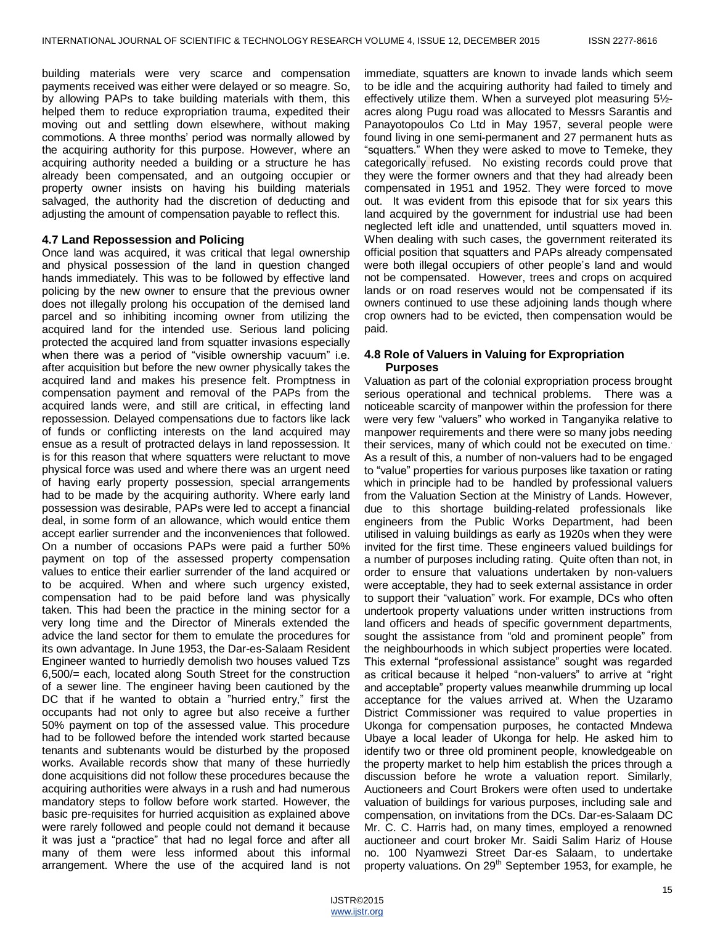building materials were very scarce and compensation payments received was either were delayed or so meagre. So, by allowing PAPs to take building materials with them, this helped them to reduce expropriation trauma, expedited their moving out and settling down elsewhere, without making commotions. A three months' period was normally allowed by the acquiring authority for this purpose. However, where an acquiring authority needed a building or a structure he has already been compensated, and an outgoing occupier or property owner insists on having his building materials salvaged, the authority had the discretion of deducting and adjusting the amount of compensation payable to reflect this.

## **4.7 Land Repossession and Policing**

Once land was acquired, it was critical that legal ownership and physical possession of the land in question changed hands immediately. This was to be followed by effective land policing by the new owner to ensure that the previous owner does not illegally prolong his occupation of the demised land parcel and so inhibiting incoming owner from utilizing the acquired land for the intended use. Serious land policing protected the acquired land from squatter invasions especially when there was a period of "visible ownership vacuum" i.e. after acquisition but before the new owner physically takes the acquired land and makes his presence felt. Promptness in compensation payment and removal of the PAPs from the acquired lands were, and still are critical, in effecting land repossession. Delayed compensations due to factors like lack of funds or conflicting interests on the land acquired may ensue as a result of protracted delays in land repossession. It is for this reason that where squatters were reluctant to move physical force was used and where there was an urgent need of having early property possession, special arrangements had to be made by the acquiring authority. Where early land possession was desirable, PAPs were led to accept a financial deal, in some form of an allowance, which would entice them accept earlier surrender and the inconveniences that followed. On a number of occasions PAPs were paid a further 50% payment on top of the assessed property compensation values to entice their earlier surrender of the land acquired or to be acquired. When and where such urgency existed, compensation had to be paid before land was physically taken. This had been the practice in the mining sector for a very long time and the Director of Minerals extended the advice the land sector for them to emulate the procedures for its own advantage. In June 1953, the Dar-es-Salaam Resident Engineer wanted to hurriedly demolish two houses valued Tzs 6,500/= each, located along South Street for the construction of a sewer line. The engineer having been cautioned by the DC that if he wanted to obtain a "hurried entry," first the occupants had not only to agree but also receive a further 50% payment on top of the assessed value. This procedure had to be followed before the intended work started because tenants and subtenants would be disturbed by the proposed works. Available records show that many of these hurriedly done acquisitions did not follow these procedures because the acquiring authorities were always in a rush and had numerous mandatory steps to follow before work started. However, the basic pre-requisites for hurried acquisition as explained above were rarely followed and people could not demand it because it was just a "practice" that had no legal force and after all many of them were less informed about this informal arrangement. Where the use of the acquired land is not

immediate, squatters are known to invade lands which seem to be idle and the acquiring authority had failed to timely and effectively utilize them. When a surveyed plot measuring 5½ acres along Pugu road was allocated to Messrs Sarantis and Panayotopoulos Co Ltd in May 1957, several people were found living in one semi-permanent and 27 permanent huts as ―squatters.‖ When they were asked to move to Temeke, they categorically refused. No existing records could prove that they were the former owners and that they had already been compensated in 1951 and 1952. They were forced to move out. It was evident from this episode that for six years this land acquired by the government for industrial use had been neglected left idle and unattended, until squatters moved in. When dealing with such cases, the government reiterated its official position that squatters and PAPs already compensated were both illegal occupiers of other people's land and would not be compensated. However, trees and crops on acquired lands or on road reserves would not be compensated if its owners continued to use these adjoining lands though where crop owners had to be evicted, then compensation would be paid.

## **4.8 Role of Valuers in Valuing for Expropriation Purposes**

Valuation as part of the colonial expropriation process brought serious operational and technical problems. There was a noticeable scarcity of manpower within the profession for there were very few "valuers" who worked in Tanganyika relative to manpower requirements and there were so many jobs needing their services, many of which could not be executed on time. . As a result of this, a number of non-valuers had to be engaged to "value" properties for various purposes like taxation or rating which in principle had to be handled by professional valuers from the Valuation Section at the Ministry of Lands. However, due to this shortage building-related professionals like engineers from the Public Works Department, had been utilised in valuing buildings as early as 1920s when they were invited for the first time. These engineers valued buildings for a number of purposes including rating. Quite often than not, in order to ensure that valuations undertaken by non-valuers were acceptable, they had to seek external assistance in order to support their "valuation" work. For example, DCs who often undertook property valuations under written instructions from land officers and heads of specific government departments, sought the assistance from "old and prominent people" from the neighbourhoods in which subject properties were located. This external "professional assistance" sought was regarded as critical because it helped "non-valuers" to arrive at "right and acceptable" property values meanwhile drumming up local acceptance for the values arrived at. When the Uzaramo District Commissioner was required to value properties in Ukonga for compensation purposes, he contacted Mndewa Ubaye a local leader of Ukonga for help. He asked him to identify two or three old prominent people, knowledgeable on the property market to help him establish the prices through a discussion before he wrote a valuation report. Similarly, Auctioneers and Court Brokers were often used to undertake valuation of buildings for various purposes, including sale and compensation, on invitations from the DCs. Dar-es-Salaam DC Mr. C. C. Harris had, on many times, employed a renowned auctioneer and court broker Mr*.* Saidi Salim Hariz of House no. 100 Nyamwezi Street Dar-es Salaam, to undertake property valuations. On 29<sup>th</sup> September 1953, for example, he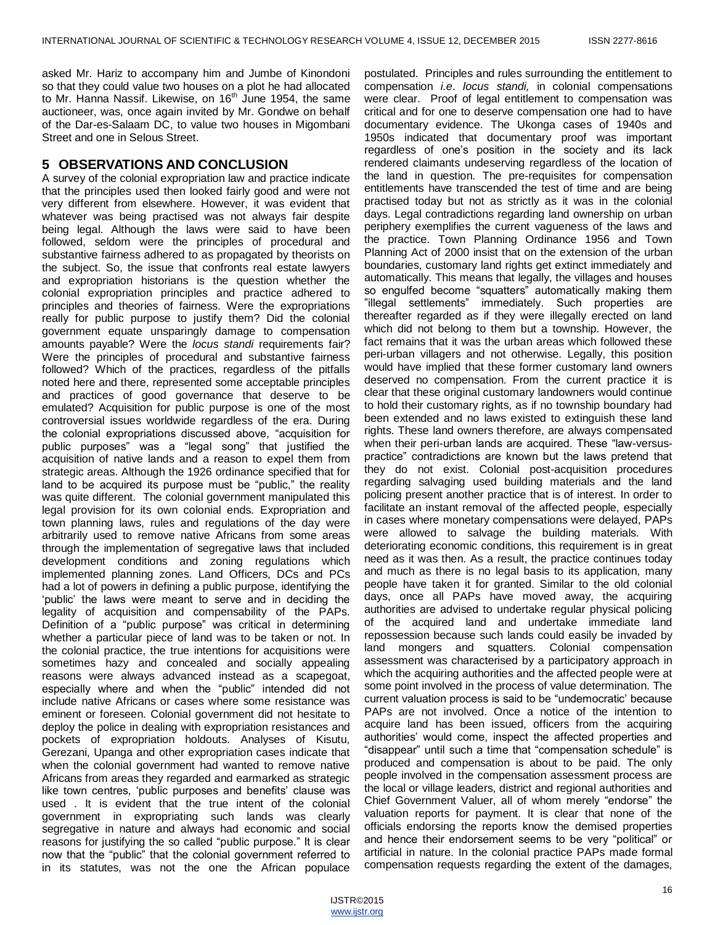asked Mr. Hariz to accompany him and Jumbe of Kinondoni so that they could value two houses on a plot he had allocated to Mr. Hanna Nassif. Likewise, on 16<sup>th</sup> June 1954, the same auctioneer, was, once again invited by Mr. Gondwe on behalf of the Dar-es-Salaam DC, to value two houses in Migombani Street and one in Selous Street.

#### **5 OBSERVATIONS AND CONCLUSION**

A survey of the colonial expropriation law and practice indicate that the principles used then looked fairly good and were not very different from elsewhere. However, it was evident that whatever was being practised was not always fair despite being legal. Although the laws were said to have been followed, seldom were the principles of procedural and substantive fairness adhered to as propagated by theorists on the subject. So, the issue that confronts real estate lawyers and expropriation historians is the question whether the colonial expropriation principles and practice adhered to principles and theories of fairness. Were the expropriations really for public purpose to justify them? Did the colonial government equate unsparingly damage to compensation amounts payable? Were the *locus standi* requirements fair? Were the principles of procedural and substantive fairness followed? Which of the practices, regardless of the pitfalls noted here and there, represented some acceptable principles and practices of good governance that deserve to be emulated? Acquisition for public purpose is one of the most controversial issues worldwide regardless of the era. During the colonial expropriations discussed above, "acquisition for public purposes" was a "legal song" that justified the acquisition of native lands and a reason to expel them from strategic areas. Although the 1926 ordinance specified that for land to be acquired its purpose must be "public," the reality was quite different. The colonial government manipulated this legal provision for its own colonial ends. Expropriation and town planning laws, rules and regulations of the day were arbitrarily used to remove native Africans from some areas through the implementation of segregative laws that included development conditions and zoning regulations which implemented planning zones. Land Officers, DCs and PCs had a lot of powers in defining a public purpose, identifying the 'public' the laws were meant to serve and in deciding the legality of acquisition and compensability of the PAPs. Definition of a "public purpose" was critical in determining whether a particular piece of land was to be taken or not. In the colonial practice, the true intentions for acquisitions were sometimes hazy and concealed and socially appealing reasons were always advanced instead as a scapegoat, especially where and when the "public" intended did not include native Africans or cases where some resistance was eminent or foreseen. Colonial government did not hesitate to deploy the police in dealing with expropriation resistances and pockets of expropriation holdouts. Analyses of Kisutu, Gerezani, Upanga and other expropriation cases indicate that when the colonial government had wanted to remove native Africans from areas they regarded and earmarked as strategic like town centres, 'public purposes and benefits' clause was used . It is evident that the true intent of the colonial government in expropriating such lands was clearly segregative in nature and always had economic and social reasons for justifying the so called "public purpose." It is clear now that the "public" that the colonial government referred to in its statutes, was not the one the African populace

postulated. Principles and rules surrounding the entitlement to compensation *i.e*. *locus standi,* in colonial compensations were clear. Proof of legal entitlement to compensation was critical and for one to deserve compensation one had to have documentary evidence. The Ukonga cases of 1940s and 1950s indicated that documentary proof was important regardless of one's position in the society and its lack rendered claimants undeserving regardless of the location of the land in question. The pre-requisites for compensation entitlements have transcended the test of time and are being practised today but not as strictly as it was in the colonial days. Legal contradictions regarding land ownership on urban periphery exemplifies the current vagueness of the laws and the practice. Town Planning Ordinance 1956 and Town Planning Act of 2000 insist that on the extension of the urban boundaries, customary land rights get extinct immediately and automatically. This means that legally, the villages and houses so engulfed become "squatters" automatically making them "illegal settlements" immediately. Such properties are thereafter regarded as if they were illegally erected on land which did not belong to them but a township. However, the fact remains that it was the urban areas which followed these peri-urban villagers and not otherwise. Legally, this position would have implied that these former customary land owners deserved no compensation. From the current practice it is clear that these original customary landowners would continue to hold their customary rights, as if no township boundary had been extended and no laws existed to extinguish these land rights. These land owners therefore, are always compensated when their peri-urban lands are acquired. These "law-versuspractice‖ contradictions are known but the laws pretend that they do not exist. Colonial post-acquisition procedures regarding salvaging used building materials and the land policing present another practice that is of interest. In order to facilitate an instant removal of the affected people, especially in cases where monetary compensations were delayed, PAPs were allowed to salvage the building materials. With deteriorating economic conditions, this requirement is in great need as it was then. As a result, the practice continues today and much as there is no legal basis to its application, many people have taken it for granted. Similar to the old colonial days, once all PAPs have moved away, the acquiring authorities are advised to undertake regular physical policing of the acquired land and undertake immediate land repossession because such lands could easily be invaded by land mongers and squatters. Colonial compensation assessment was characterised by a participatory approach in which the acquiring authorities and the affected people were at some point involved in the process of value determination. The current valuation process is said to be "undemocratic' because PAPs are not involved. Once a notice of the intention to acquire land has been issued, officers from the acquiring authorities' would come, inspect the affected properties and "disappear" until such a time that "compensation schedule" is produced and compensation is about to be paid. The only people involved in the compensation assessment process are the local or village leaders, district and regional authorities and Chief Government Valuer, all of whom merely "endorse" the valuation reports for payment. It is clear that none of the officials endorsing the reports know the demised properties and hence their endorsement seems to be very "political" or artificial in nature. In the colonial practice PAPs made formal compensation requests regarding the extent of the damages,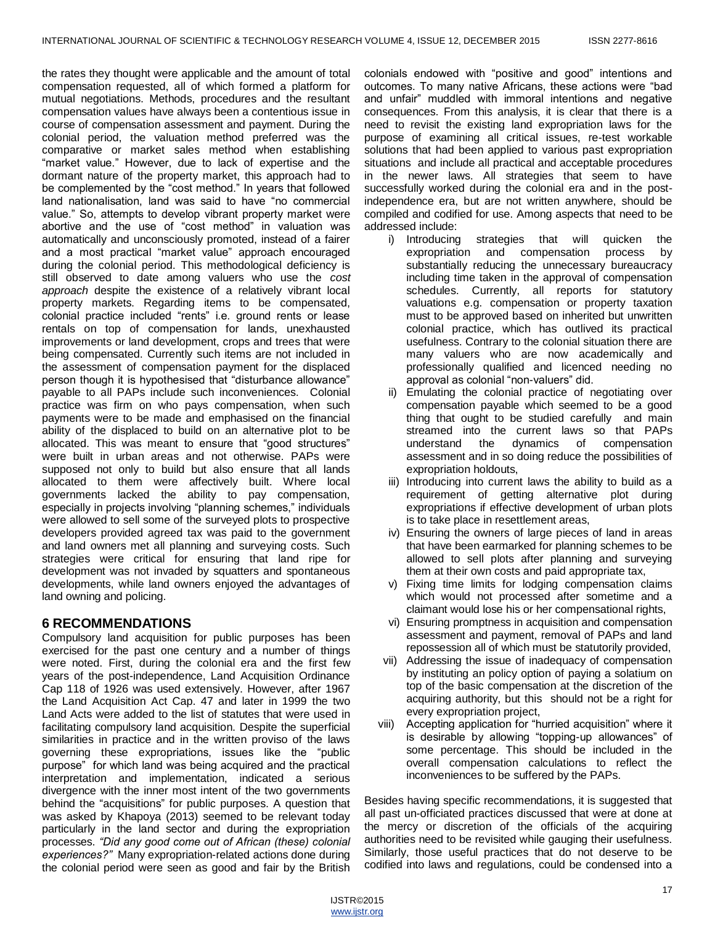the rates they thought were applicable and the amount of total compensation requested, all of which formed a platform for mutual negotiations. Methods, procedures and the resultant compensation values have always been a contentious issue in course of compensation assessment and payment. During the colonial period, the valuation method preferred was the comparative or market sales method when establishing "market value." However, due to lack of expertise and the dormant nature of the property market, this approach had to be complemented by the "cost method." In years that followed land nationalisation, land was said to have "no commercial value." So, attempts to develop vibrant property market were abortive and the use of "cost method" in valuation was automatically and unconsciously promoted, instead of a fairer and a most practical "market value" approach encouraged during the colonial period. This methodological deficiency is still observed to date among valuers who use the *cost approach* despite the existence of a relatively vibrant local property markets. Regarding items to be compensated, colonial practice included "rents" i.e. ground rents or lease rentals on top of compensation for lands, unexhausted improvements or land development, crops and trees that were being compensated. Currently such items are not included in the assessment of compensation payment for the displaced person though it is hypothesised that "disturbance allowance" payable to all PAPs include such inconveniences. Colonial practice was firm on who pays compensation, when such payments were to be made and emphasised on the financial ability of the displaced to build on an alternative plot to be allocated. This was meant to ensure that "good structures" were built in urban areas and not otherwise. PAPs were supposed not only to build but also ensure that all lands allocated to them were affectively built. Where local governments lacked the ability to pay compensation, especially in projects involving "planning schemes," individuals were allowed to sell some of the surveyed plots to prospective developers provided agreed tax was paid to the government and land owners met all planning and surveying costs. Such strategies were critical for ensuring that land ripe for development was not invaded by squatters and spontaneous developments, while land owners enjoyed the advantages of land owning and policing.

# **6 RECOMMENDATIONS**

Compulsory land acquisition for public purposes has been exercised for the past one century and a number of things were noted. First, during the colonial era and the first few years of the post-independence, Land Acquisition Ordinance Cap 118 of 1926 was used extensively. However, after 1967 the Land Acquisition Act Cap. 47 and later in 1999 the two Land Acts were added to the list of statutes that were used in facilitating compulsory land acquisition. Despite the superficial similarities in practice and in the written proviso of the laws governing these expropriations, issues like the "public purpose" for which land was being acquired and the practical interpretation and implementation, indicated a serious divergence with the inner most intent of the two governments behind the "acquisitions" for public purposes. A question that was asked by Khapoya (2013) seemed to be relevant today particularly in the land sector and during the expropriation processes. *"Did any good come out of African (these) colonial experiences?"* Many expropriation-related actions done during the colonial period were seen as good and fair by the British

colonials endowed with "positive and good" intentions and outcomes. To many native Africans, these actions were "bad and unfair" muddled with immoral intentions and negative consequences. From this analysis, it is clear that there is a need to revisit the existing land expropriation laws for the purpose of examining all critical issues, re-test workable solutions that had been applied to various past expropriation situations and include all practical and acceptable procedures in the newer laws. All strategies that seem to have successfully worked during the colonial era and in the postindependence era, but are not written anywhere, should be compiled and codified for use. Among aspects that need to be addressed include:

- i) Introducing strategies that will quicken the expropriation and compensation process by substantially reducing the unnecessary bureaucracy including time taken in the approval of compensation schedules. Currently, all reports for statutory valuations e.g. compensation or property taxation must to be approved based on inherited but unwritten colonial practice, which has outlived its practical usefulness. Contrary to the colonial situation there are many valuers who are now academically and professionally qualified and licenced needing no approval as colonial "non-valuers" did.
- ii) Emulating the colonial practice of negotiating over compensation payable which seemed to be a good thing that ought to be studied carefully and main streamed into the current laws so that PAPs understand the dynamics of compensation assessment and in so doing reduce the possibilities of expropriation holdouts,
- iii) Introducing into current laws the ability to build as a requirement of getting alternative plot during expropriations if effective development of urban plots is to take place in resettlement areas,
- iv) Ensuring the owners of large pieces of land in areas that have been earmarked for planning schemes to be allowed to sell plots after planning and surveying them at their own costs and paid appropriate tax,
- v) Fixing time limits for lodging compensation claims which would not processed after sometime and a claimant would lose his or her compensational rights,
- vi) Ensuring promptness in acquisition and compensation assessment and payment, removal of PAPs and land repossession all of which must be statutorily provided,
- vii) Addressing the issue of inadequacy of compensation by instituting an policy option of paying a solatium on top of the basic compensation at the discretion of the acquiring authority, but this should not be a right for every expropriation project,
- viii) Accepting application for "hurried acquisition" where it is desirable by allowing "topping-up allowances" of some percentage. This should be included in the overall compensation calculations to reflect the inconveniences to be suffered by the PAPs.

Besides having specific recommendations, it is suggested that all past un-officiated practices discussed that were at done at the mercy or discretion of the officials of the acquiring authorities need to be revisited while gauging their usefulness. Similarly, those useful practices that do not deserve to be codified into laws and regulations, could be condensed into a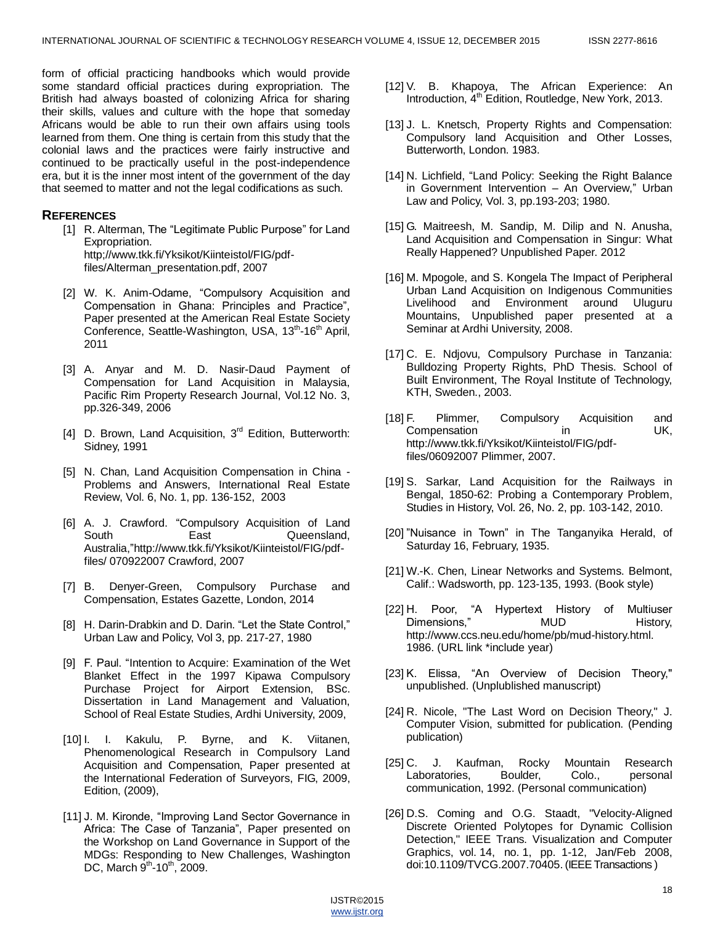form of official practicing handbooks which would provide some standard official practices during expropriation. The British had always boasted of colonizing Africa for sharing their skills, values and culture with the hope that someday Africans would be able to run their own affairs using tools learned from them. One thing is certain from this study that the colonial laws and the practices were fairly instructive and continued to be practically useful in the post-independence era, but it is the inner most intent of the government of the day that seemed to matter and not the legal codifications as such.

## **REFERENCES**

- [1] R. Alterman, The "Legitimate Public Purpose" for Land Expropriation. http;//www.tkk.fi/Yksikot/Kiinteistol/FIG/pdffiles/Alterman\_presentation.pdf, 2007
- [2] W. K. Anim-Odame, "Compulsory Acquisition and Compensation in Ghana: Principles and Practice", Paper presented at the American Real Estate Society Conference, Seattle-Washington, USA, 13<sup>th</sup>-16<sup>th</sup> April, 2011
- [3] A. Anyar and M. D. Nasir-Daud Payment of Compensation for Land Acquisition in Malaysia, Pacific Rim Property Research Journal, Vol.12 No. 3, pp.326-349, 2006
- [4] D. Brown, Land Acquisition, 3<sup>rd</sup> Edition, Butterworth: Sidney, 1991
- [5] N. Chan, Land Acquisition Compensation in China Problems and Answers, International Real Estate Review, Vol. 6, No. 1, pp. 136-152, 2003
- [6] A. J. Crawford. "Compulsory Acquisition of Land South **East** Cueensland, Australia,"http://www.tkk.fi/Yksikot/Kiinteistol/FIG/pdf[files/](http://www.tkk.fi/Yksikot/Kiinteistol/FIG/pdf-files) 070922007 Crawford, 2007
- [7] B. Denyer-Green, Compulsory Purchase and Compensation, Estates Gazette, London, 2014
- [8] H. Darin-Drabkin and D. Darin. "Let the State Control," Urban Law and Policy, Vol 3, pp. 217-27, 1980
- [9] F. Paul. "Intention to Acquire: Examination of the Wet Blanket Effect in the 1997 Kipawa Compulsory Purchase Project for Airport Extension, BSc. Dissertation in Land Management and Valuation, School of Real Estate Studies, Ardhi University, 2009,
- [10] I. I. Kakulu, P. Byrne, and K. Viitanen, Phenomenological Research in Compulsory Land Acquisition and Compensation, Paper presented at the International Federation of Surveyors, FIG, 2009, Edition, (2009),
- [11] J. M. Kironde, "Improving Land Sector Governance in Africa: The Case of Tanzania", Paper presented on the Workshop on Land Governance in Support of the MDGs: Responding to New Challenges, Washington DC, March  $9^{th}$ -10<sup>th</sup>, 2009.
- [12] V. B. Khapoya, The African Experience: An Introduction, 4<sup>th</sup> Edition, Routledge, New York, 2013.
- [13] J. L. Knetsch, Property Rights and Compensation: Compulsory land Acquisition and Other Losses, Butterworth, London. 1983.
- [14] N. Lichfield, "Land Policy: Seeking the Right Balance in Government Intervention - An Overview," Urban Law and Policy, Vol. 3, pp.193-203; 1980.
- [15] G. Maitreesh, M. Sandip, M. Dilip and N. Anusha, Land Acquisition and Compensation in Singur: What Really Happened? Unpublished Paper. 2012
- [16] M. Mpogole, and S. Kongela The Impact of Peripheral Urban Land Acquisition on Indigenous Communities Livelihood and Environment around Uluguru Mountains, Unpublished paper presented at a Seminar at Ardhi University, 2008.
- [17] C. E. Ndjovu, Compulsory Purchase in Tanzania: Bulldozing Property Rights, PhD Thesis. School of Built Environment, The Royal Institute of Technology, KTH, Sweden., 2003.
- [18] F. Plimmer, Compulsory Acquisition and Compensation in UK, http://www.tkk.fi/Yksikot/Kiinteistol/FIG/pdffiles/06092007 Plimmer, 2007.
- [19] S. Sarkar, Land Acquisition for the Railways in Bengal, 1850-62: Probing a Contemporary Problem, Studies in History, Vol. 26, No. 2, pp. 103-142, 2010.
- [20] "Nuisance in Town" in The Tanganyika Herald, of Saturday 16, February, 1935.
- [21] W.-K. Chen, Linear Networks and Systems. Belmont, Calif.: Wadsworth, pp. 123-135, 1993. (Book style)
- [22] H. Poor, "A Hypertext History of Multiuser Dimensions," MUD History, http://www.ccs.neu.edu/home/pb/mud-history.html. 1986. (URL link \*include year)
- [23] K. Elissa, "An Overview of Decision Theory," unpublished. (Unplublished manuscript)
- [24] R. Nicole, "The Last Word on Decision Theory," J. Computer Vision, submitted for publication. (Pending publication)
- [25] C. J. Kaufman, Rocky Mountain Research Laboratories, Boulder, Colo., personal communication, 1992. (Personal communication)
- [26] D.S. Coming and O.G. Staadt, "Velocity-Aligned Discrete Oriented Polytopes for Dynamic Collision Detection," IEEE Trans. Visualization and Computer Graphics, vol. 14, no. 1, pp. 1-12, Jan/Feb 2008, doi:10.1109/TVCG.2007.70405. (IEEE Transactions )